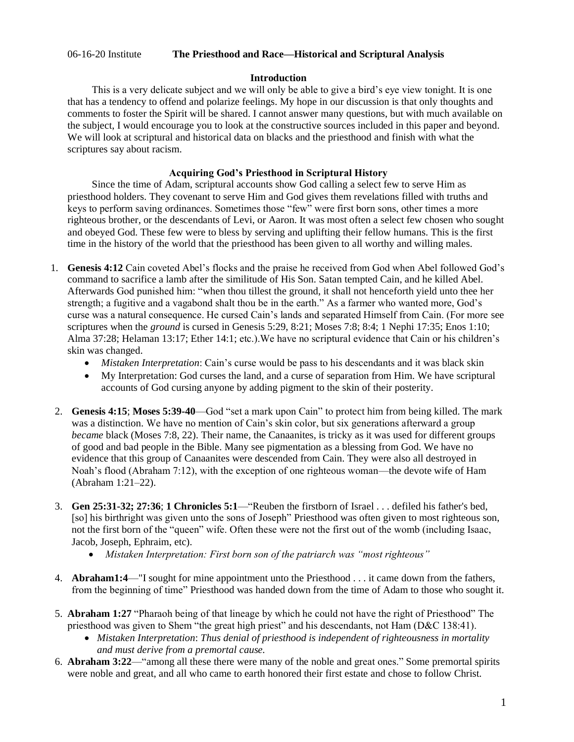# 06-16-20 Institute **The Priesthood and Race—Historical and Scriptural Analysis**

## **Introduction**

 This is a very delicate subject and we will only be able to give a bird's eye view tonight. It is one that has a tendency to offend and polarize feelings. My hope in our discussion is that only thoughts and comments to foster the Spirit will be shared. I cannot answer many questions, but with much available on the subject, I would encourage you to look at the constructive sources included in this paper and beyond. We will look at scriptural and historical data on blacks and the priesthood and finish with what the scriptures say about racism.

# **Acquiring God's Priesthood in Scriptural History**

 Since the time of Adam, scriptural accounts show God calling a select few to serve Him as priesthood holders. They covenant to serve Him and God gives them revelations filled with truths and keys to perform saving ordinances. Sometimes those "few" were first born sons, other times a more righteous brother, or the descendants of Levi, or Aaron. It was most often a select few chosen who sought and obeyed God. These few were to bless by serving and uplifting their fellow humans. This is the first time in the history of the world that the priesthood has been given to all worthy and willing males.

- 1. **Genesis 4:12** Cain coveted Abel's flocks and the praise he received from God when Abel followed God's command to sacrifice a lamb after the similitude of His Son. Satan tempted Cain, and he killed Abel. Afterwards God punished him: "when thou tillest the ground, it shall not henceforth yield unto thee her strength; a fugitive and a vagabond shalt thou be in the earth." As a farmer who wanted more, God's curse was a natural consequence. He cursed Cain's lands and separated Himself from Cain. (For more see scriptures when the *ground* is cursed in Genesis 5:29, 8:21; Moses 7:8; 8:4; 1 Nephi 17:35; Enos 1:10; Alma 37:28; Helaman 13:17; Ether 14:1; etc.).We have no scriptural evidence that Cain or his children's skin was changed.
	- *Mistaken Interpretation*: Cain's curse would be pass to his descendants and it was black skin
	- My Interpretation: God curses the land, and a curse of separation from Him. We have scriptural accounts of God cursing anyone by adding pigment to the skin of their posterity.
- 2. **Genesis 4:15**; **Moses 5:39-40**—God "set a mark upon Cain" to protect him from being killed. The mark was a distinction. We have no mention of Cain's skin color, but six generations afterward a group *became* black (Moses 7:8, 22). Their name, the Canaanites, is tricky as it was used for different groups of good and bad people in the Bible. Many see pigmentation as a blessing from God. We have no evidence that this group of Canaanites were descended from Cain. They were also all destroyed in Noah's flood (Abraham 7:12), with the exception of one righteous woman—the devote wife of Ham (Abraham 1:21–22).
- 3. **Gen 25:31-32; 27:36**; **1 Chronicles 5:1**—"Reuben the firstborn of Israel . . . defiled his father's bed, [so] his birthright was given unto the sons of Joseph" Priesthood was often given to most righteous son, not the first born of the "queen" wife. Often these were not the first out of the womb (including Isaac, Jacob, Joseph, Ephraim, etc).
	- *Mistaken Interpretation: First born son of the patriarch was "most righteous"*
- 4. **Abraham1:4**—"I sought for mine appointment unto the Priesthood . . . it came down from the fathers, from the beginning of time" Priesthood was handed down from the time of Adam to those who sought it.
- 5. **Abraham 1:27** "Pharaoh being of that lineage by which he could not have the right of Priesthood" The priesthood was given to Shem "the great high priest" and his descendants, not Ham (D&C 138:41).
	- *Mistaken Interpretation*: *Thus denial of priesthood is independent of righteousness in mortality and must derive from a premortal cause.*
- 6. **Abraham 3:22**—"among all these there were many of the noble and great ones." Some premortal spirits were noble and great, and all who came to earth honored their first estate and chose to follow Christ.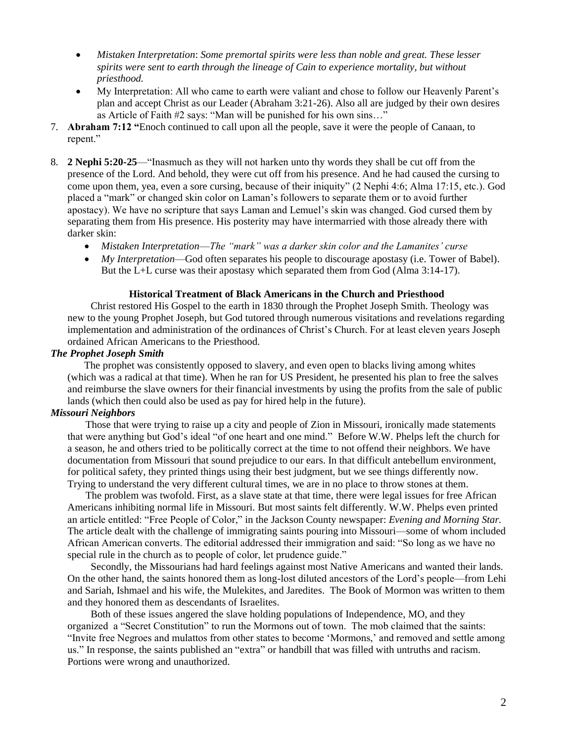- *Mistaken Interpretation*: *Some premortal spirits were less than noble and great. These lesser spirits were sent to earth through the lineage of Cain to experience mortality, but without priesthood.*
- My Interpretation: All who came to earth were valiant and chose to follow our Heavenly Parent's plan and accept Christ as our Leader (Abraham 3:21-26). Also all are judged by their own desires as Article of Faith #2 says: "Man will be punished for his own sins…"
- 7. **Abraham 7:12 "**Enoch continued to call upon all the people, save it were the people of Canaan, to repent."
- 8. **2 Nephi 5:20-25**—"Inasmuch as they will not harken unto thy words they shall be cut off from the presence of the Lord. And behold, they were cut off from his presence. And he had caused the cursing to come upon them, yea, even a sore cursing, because of their iniquity" (2 Nephi 4:6; Alma 17:15, etc.). God placed a "mark" or changed skin color on Laman's followers to separate them or to avoid further apostacy). We have no scripture that says Laman and Lemuel's skin was changed. God cursed them by separating them from His presence. His posterity may have intermarried with those already there with darker skin:
	- *Mistaken Interpretation*—*The "mark" was a darker skin color and the Lamanites' curse*
	- *My Interpretation*—God often separates his people to discourage apostasy (i.e. Tower of Babel). But the L+L curse was their apostasy which separated them from God (Alma 3:14-17).

## **Historical Treatment of Black Americans in the Church and Priesthood**

 Christ restored His Gospel to the earth in 1830 through the Prophet Joseph Smith. Theology was new to the young Prophet Joseph, but God tutored through numerous visitations and revelations regarding implementation and administration of the ordinances of Christ's Church. For at least eleven years Joseph ordained African Americans to the Priesthood.

#### *The Prophet Joseph Smith*

 The prophet was consistently opposed to slavery, and even open to blacks living among whites (which was a radical at that time). When he ran for US President, he presented his plan to free the salves and reimburse the slave owners for their financial investments by using the profits from the sale of public lands (which then could also be used as pay for hired help in the future).

#### *Missouri Neighbors*

 Those that were trying to raise up a city and people of Zion in Missouri, ironically made statements that were anything but God's ideal "of one heart and one mind." Before W.W. Phelps left the church for a season, he and others tried to be politically correct at the time to not offend their neighbors. We have documentation from Missouri that sound prejudice to our ears. In that difficult antebellum environment, for political safety, they printed things using their best judgment, but we see things differently now. Trying to understand the very different cultural times, we are in no place to throw stones at them.

 The problem was twofold. First, as a slave state at that time, there were legal issues for free African Americans inhibiting normal life in Missouri. But most saints felt differently. W.W. Phelps even printed an article entitled: "Free People of Color," in the Jackson County newspaper: *Evening and Morning Star.* The article dealt with the challenge of immigrating saints pouring into Missouri—some of whom included African American converts. The editorial addressed their immigration and said: "So long as we have no special rule in the church as to people of color, let prudence guide."

 Secondly, the Missourians had hard feelings against most Native Americans and wanted their lands. On the other hand, the saints honored them as long-lost diluted ancestors of the Lord's people—from Lehi and Sariah, Ishmael and his wife, the Mulekites, and Jaredites. The Book of Mormon was written to them and they honored them as descendants of Israelites.

 Both of these issues angered the slave holding populations of Independence, MO, and they organized a "Secret Constitution" to run the Mormons out of town. The mob claimed that the saints: "Invite free Negroes and mulattos from other states to become 'Mormons,' and removed and settle among us." In response, the saints published an "extra" or handbill that was filled with untruths and racism. Portions were wrong and unauthorized.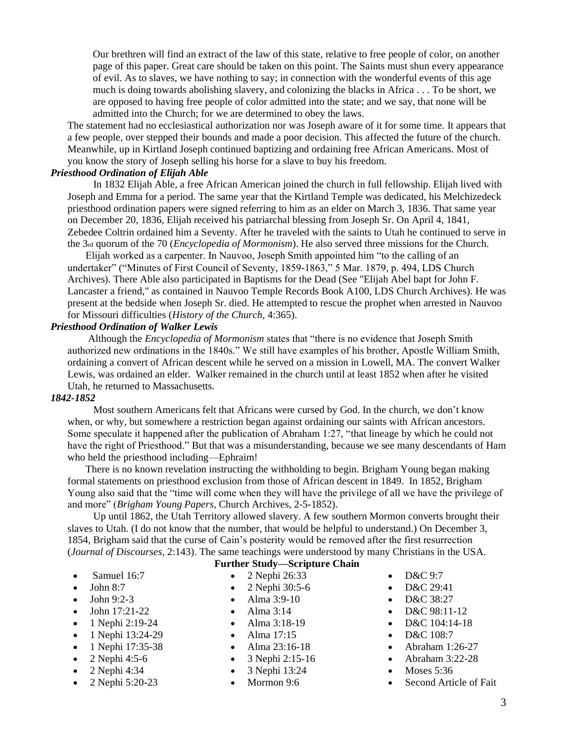Our brethren will find an extract of the law of this state, relative to free people of color, on another page of this paper. Great care should be taken on this point. The Saints must shun every appearance of evil. As to slaves, we have nothing to say; in connection with the wonderful events of this age much is doing towards abolishing slavery, and colonizing the blacks in Africa . . . To be short, we are opposed to having free people of color admitted into the state; and we say, that none will be admitted into the Church; for we are determined to obey the laws.

The statement had no ecclesiastical authorization nor was Joseph aware of it for some time. It appears that a few people, over stepped their bounds and made a poor decision. This affected the future of the church. Meanwhile, up in Kirtland Joseph continued baptizing and ordaining free African Americans. Most of you know the story of Joseph selling his horse for a slave to buy his freedom.

## *Priesthood Ordination of Elijah Able*

 In 1832 Elijah Able, a free African American joined the church in full fellowship. Elijah lived with Joseph and Emma for a period. The same year that the Kirtland Temple was dedicated, his Melchizedeck priesthood ordination papers were signed referring to him as an elder on March 3, 1836. That same year on December 20, 1836, Elijah received his patriarchal blessing from Joseph Sr. On April 4, 1841, Zebedee Coltrin ordained him a Seventy. After he traveled with the saints to Utah he continued to serve in the 3rd quorum of the 70 (*Encyclopedia of Mormonism*). He also served three missions for the Church.

 Elijah worked as a carpenter. In Nauvoo, Joseph Smith appointed him "to the calling of an undertaker" ("Minutes of First Council of Seventy, 1859-1863," 5 Mar. 1879, p. 494, LDS Church Archives). There Able also participated in Baptisms for the Dead (See "Elijah Abel bapt for John F. Lancaster a friend," as contained in Nauvoo Temple Records Book A100, LDS Church Archives). He was present at the bedside when Joseph Sr. died. He attempted to rescue the prophet when arrested in Nauvoo for Missouri difficulties (*History of the Church,* 4:365).

### *Priesthood Ordination of Walker Lewis*

 Although the *Encyclopedia of Mormonism* states that "there is no evidence that Joseph Smith authorized new ordinations in the 1840s." We still have examples of his brother, Apostle William Smith, ordaining a convert of African descent while he served on a mission in Lowell, MA. The convert Walker Lewis, was ordained an elder. Walker remained in the church until at least 1852 when after he visited Utah, he returned to Massachusetts.

#### *1842-1852*

 Most southern Americans felt that Africans were cursed by God. In the church, we don't know when, or why, but somewhere a restriction began against ordaining our saints with African ancestors. Some speculate it happened after the publication of Abraham 1:27, "that lineage by which he could not have the right of Priesthood." But that was a misunderstanding, because we see many descendants of Ham who held the priesthood including—Ephraim!

 There is no known revelation instructing the withholding to begin. Brigham Young began making formal statements on priesthood exclusion from those of African descent in 1849. In 1852, Brigham Young also said that the "time will come when they will have the privilege of all we have the privilege of and more" (*Brigham Young Papers*, Church Archives, 2-5-1852).

 Up until 1862, the Utah Territory allowed slavery. A few southern Mormon converts brought their slaves to Utah. (I do not know that the number, that would be helpful to understand.) On December 3, 1854, Brigham said that the curse of Cain's posterity would be removed after the first resurrection (*Journal of Discourses*, 2:143). The same teachings were understood by many Christians in the USA.

- **Further Study—Scripture Chain**
- Samuel  $16:7$
- $\bullet$  John 8:7
- $\bullet$  John 9:2-3
- John 17:21-22
- 1 Nephi 2:19-24
- 1 Nephi 13:24-29
- 1 Nephi 17:35-38
- 2 Nephi 4:5-6
- 2 Nephi 4:34
- 2 Nephi 5:20-23
- 2 Nephi 26:33
- 2 Nephi 30:5-6
- Alma 3:9-10
- Alma  $3:14$
- Alma 3:18-19
- Alma 17:15
- Alma 23:16-18
- 3 Nephi 2:15-16
- 3 Nephi 13:24
- Mormon 9:6
- $\bullet$  D&C 9:7
- D&C 29:41
- D&C 38:27
- D&C 98:11-12
- D&C 104:14-18
- D&C 108:7
- Abraham 1:26-27
- Abraham 3:22-28
- Moses  $5:36$
- Second Article of Fait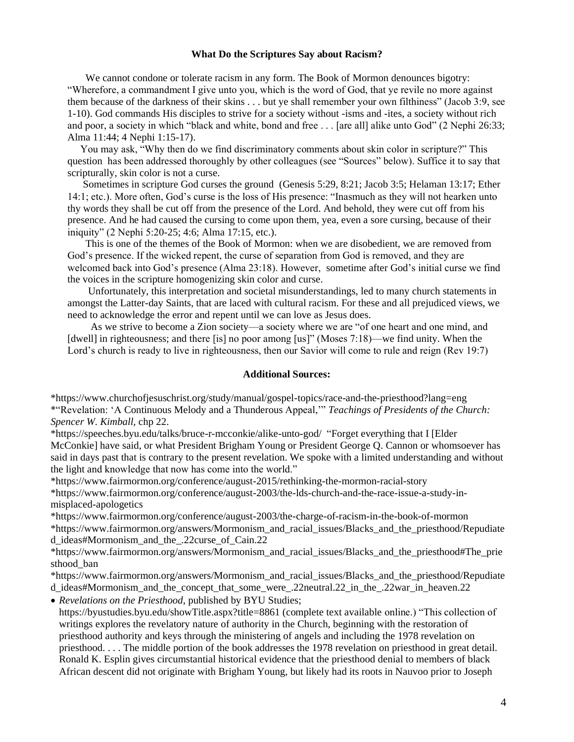#### **What Do the Scriptures Say about Racism?**

 We cannot condone or tolerate racism in any form. The Book of Mormon denounces bigotry: "Wherefore, a commandment I give unto you, which is the word of God, that ye revile no more against them because of the darkness of their skins . . . but ye shall remember your own filthiness" (Jacob 3:9, see 1-10). God commands His disciples to strive for a society without -isms and -ites, a society without rich and poor, a society in which "black and white, bond and free . . . [are all] alike unto God" (2 Nephi 26:33; Alma 11:44; 4 Nephi 1:15-17).

 You may ask, "Why then do we find discriminatory comments about skin color in scripture?" This question has been addressed thoroughly by other colleagues (see "Sources" below). Suffice it to say that scripturally, skin color is not a curse.

 Sometimes in scripture God curses the ground (Genesis 5:29, 8:21; Jacob 3:5; Helaman 13:17; Ether 14:1; etc.). More often, God's curse is the loss of His presence: "Inasmuch as they will not hearken unto thy words they shall be cut off from the presence of the Lord. And behold, they were cut off from his presence. And he had caused the cursing to come upon them, yea, even a sore cursing, because of their iniquity" (2 Nephi 5:20-25; 4:6; Alma 17:15, etc.).

 This is one of the themes of the Book of Mormon: when we are disobedient, we are removed from God's presence. If the wicked repent, the curse of separation from God is removed, and they are welcomed back into God's presence (Alma 23:18). However, sometime after God's initial curse we find the voices in the scripture homogenizing skin color and curse.

 Unfortunately, this interpretation and societal misunderstandings, led to many church statements in amongst the Latter-day Saints, that are laced with cultural racism. For these and all prejudiced views, we need to acknowledge the error and repent until we can love as Jesus does.

 As we strive to become a Zion society—a society where we are "of one heart and one mind, and [dwell] in righteousness; and there [is] no poor among [us]" (Moses 7:18)—we find unity. When the Lord's church is ready to live in righteousness, then our Savior will come to rule and reign (Rev 19:7)

#### **Additional Sources:**

[\\*https://www.churchofjesuschrist.org/study/manual/gospel-topics/race-and-the-priesthood?lang=eng](https://www.churchofjesuschrist.org/study/manual/gospel-topics/race-and-the-priesthood?lang=eng) \*"Revelation: 'A Continuous Melody and a Thunderous Appeal,'" *Teachings of Presidents of the Church: Spencer W. Kimball,* chp 22.

[\\*https://speeches.byu.edu/talks/bruce-r-mcconkie/alike-unto-god/](https://speeches.byu.edu/talks/bruce-r-mcconkie/alike-unto-god/) "Forget everything that I [Elder McConkie] have said, or what President Brigham Young or President George Q. Cannon or whomsoever has said in days past that is contrary to the present revelation. We spoke with a limited understanding and without the light and knowledge that now has come into the world."

[\\*https://www.fairmormon.org/conference/august-2015/rethinking-the-mormon-racial-story](https://www.fairmormon.org/conference/august-2015/rethinking-the-mormon-racial-story)

[\\*https://www.fairmormon.org/conference/august-2003/the-lds-church-and-the-race-issue-a-study-in](https://www.fairmormon.org/conference/august-2003/the-lds-church-and-the-race-issue-a-study-in-misplaced-apologetics)[misplaced-apologetics](https://www.fairmormon.org/conference/august-2003/the-lds-church-and-the-race-issue-a-study-in-misplaced-apologetics)

[\\*https://www.fairmormon.org/conference/august-2003/the-charge-of-racism-in-the-book-of-mormon](https://www.fairmormon.org/conference/august-2003/the-charge-of-racism-in-the-book-of-mormon) [\\*https://www.fairmormon.org/answers/Mormonism\\_and\\_racial\\_issues/Blacks\\_and\\_the\\_priesthood/Repudiate](https://www.fairmormon.org/answers/Mormonism_and_racial_issues/Blacks_and_the_priesthood/Repudiated_ideas#Mormonism_and_the_.22curse_of_Cain.22) [d\\_ideas#Mormonism\\_and\\_the\\_.22curse\\_of\\_Cain.22](https://www.fairmormon.org/answers/Mormonism_and_racial_issues/Blacks_and_the_priesthood/Repudiated_ideas#Mormonism_and_the_.22curse_of_Cain.22)

[\\*https://www.fairmormon.org/answers/Mormonism\\_and\\_racial\\_issues/Blacks\\_and\\_the\\_priesthood#The\\_prie](https://www.fairmormon.org/answers/Mormonism_and_racial_issues/Blacks_and_the_priesthood#The_priesthood_ban) [sthood\\_ban](https://www.fairmormon.org/answers/Mormonism_and_racial_issues/Blacks_and_the_priesthood#The_priesthood_ban)

[\\*https://www.fairmormon.org/answers/Mormonism\\_and\\_racial\\_issues/Blacks\\_and\\_the\\_priesthood/Repudiate](https://www.fairmormon.org/answers/Mormonism_and_racial_issues/Blacks_and_the_priesthood/Repudiated_ideas#Mormonism_and_the_concept_that_some_were_.22neutral.22_in_the_.22war_in_heaven.22) [d\\_ideas#Mormonism\\_and\\_the\\_concept\\_that\\_some\\_were\\_.22neutral.22\\_in\\_the\\_.22war\\_in\\_heaven.22](https://www.fairmormon.org/answers/Mormonism_and_racial_issues/Blacks_and_the_priesthood/Repudiated_ideas#Mormonism_and_the_concept_that_some_were_.22neutral.22_in_the_.22war_in_heaven.22)

• *Revelations on the Priesthood*, published by BYU Studies;

https://byustudies.byu.edu/showTitle.aspx?title=8861 (complete text available online.) "This collection of writings explores the revelatory nature of authority in the Church, beginning with the restoration of priesthood authority and keys through the ministering of angels and including the 1978 revelation on priesthood. . . . The middle portion of the book addresses the 1978 revelation on priesthood in great detail. Ronald K. Esplin gives circumstantial historical evidence that the priesthood denial to members of black African descent did not originate with [Brigham Young,](https://byustudies.byu.edu/Profile/BrighamYoung.aspx) but likely had its roots in Nauvoo prior to [Joseph](https://byustudies.byu.edu/Profile/JosephSmith.aspx)